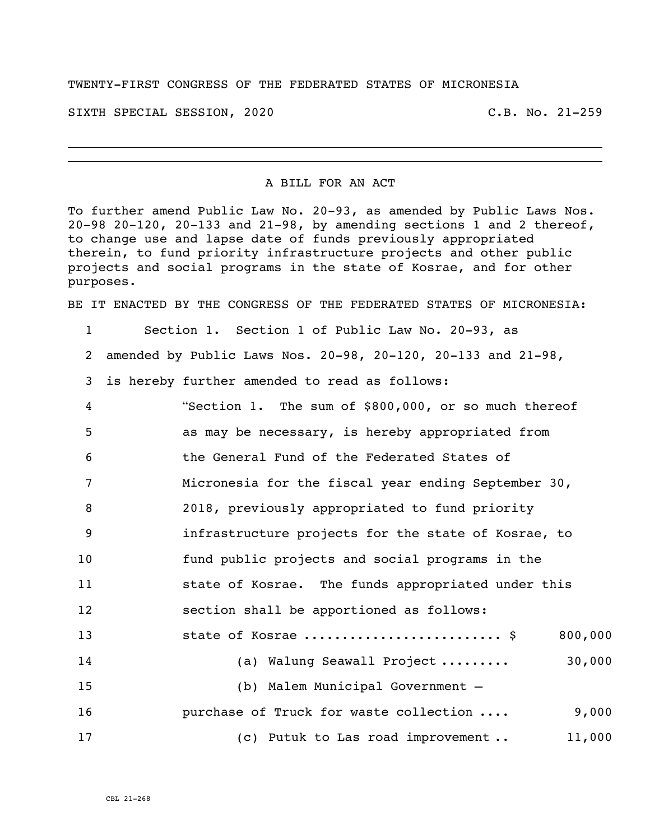## TWENTY-FIRST CONGRESS OF THE FEDERATED STATES OF MICRONESIA

SIXTH SPECIAL SESSION, 2020 C.B. No. 21-259

## A BILL FOR AN ACT

To further amend Public Law No. 20-93, as amended by Public Laws Nos. 20-98 20-120, 20-133 and 21-98, by amending sections 1 and 2 thereof, to change use and lapse date of funds previously appropriated therein, to fund priority infrastructure projects and other public projects and social programs in the state of Kosrae, and for other purposes.

BE IT ENACTED BY THE CONGRESS OF THE FEDERATED STATES OF MICRONESIA:

- 1 Section 1. Section 1 of Public Law No. 20-93, as
- 2 amended by Public Laws Nos. 20-98, 20-120, 20-133 and 21-98,
- 3 is hereby further amended to read as follows:
- 4 "Section 1. The sum of \$800,000, or so much thereof 5 as may be necessary, is hereby appropriated from 6 the General Fund of the Federated States of 7 Micronesia for the fiscal year ending September 30, 8 2018, previously appropriated to fund priority 9 infrastructure projects for the state of Kosrae, to 10 fund public projects and social programs in the 11 state of Kosrae. The funds appropriated under this 12 section shall be apportioned as follows: 13 state of Kosrae .......................... \$ 800,000 14 (a) Walung Seawall Project ......... 30,000 15 (b) Malem Municipal Government – 16 **purchase of Truck for waste collection ....** 9,000 17 (c) Putuk to Las road improvement . 11,000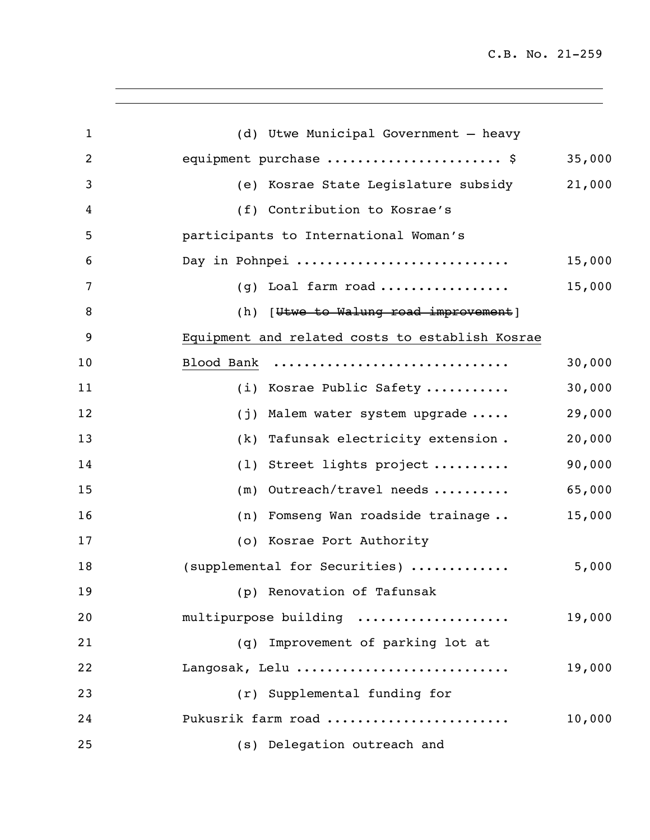C.B. No. 21-259

| $\mathbf{1}$   | (d) Utwe Municipal Government - heavy           |        |
|----------------|-------------------------------------------------|--------|
| $\overline{2}$ | equipment purchase  \$                          | 35,000 |
| 3              | (e) Kosrae State Legislature subsidy            | 21,000 |
| 4              | (f) Contribution to Kosrae's                    |        |
| 5              | participants to International Woman's           |        |
| 6              | Day in Pohnpei                                  | 15,000 |
| 7              | (g) Loal farm road                              | 15,000 |
| 8              | (h) [Utwe to Walung road improvement]           |        |
| 9              | Equipment and related costs to establish Kosrae |        |
| 10             | Blood Bank                                      | 30,000 |
| 11             | (i) Kosrae Public Safety                        | 30,000 |
| 12             | Malem water system upgrade<br>(j)               | 29,000 |
| 13             | Tafunsak electricity extension.<br>(k)          | 20,000 |
| 14             | Street lights project<br>(1)                    | 90,000 |
| 15             | Outreach/travel needs<br>(m)                    | 65,000 |
| 16             | (n) Fomseng Wan roadside trainage               | 15,000 |
| 17             | (o) Kosrae Port Authority                       |        |
| 18             | (supplemental for Securities)                   | 5,000  |
| 19             | (p) Renovation of Tafunsak                      |        |
| 20             | multipurpose building                           | 19,000 |
| 21             | (q) Improvement of parking lot at               |        |
| 22             | Langosak, Lelu                                  | 19,000 |
| 23             | (r) Supplemental funding for                    |        |
| 24             | Pukusrik farm road                              | 10,000 |
| 25             | (s) Delegation outreach and                     |        |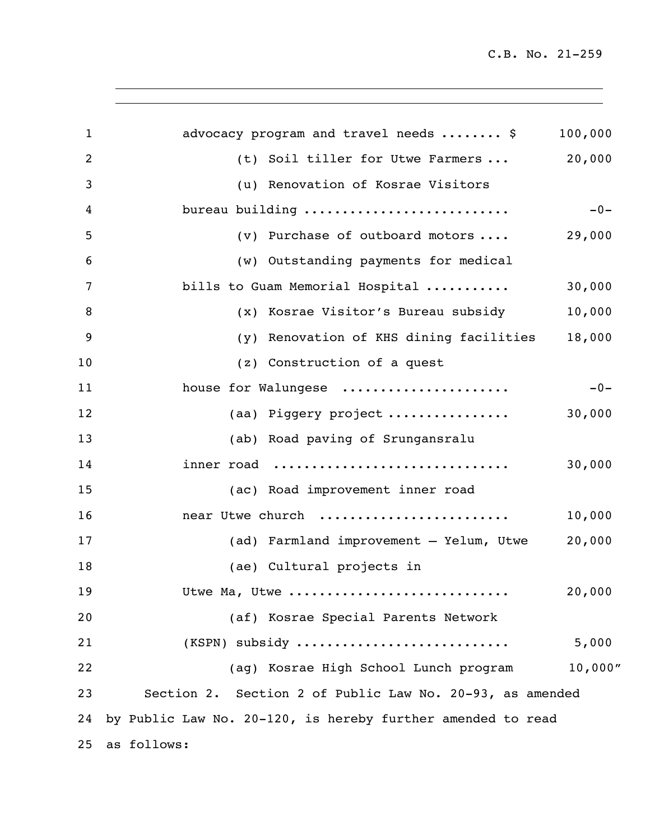C.B. No. 21-259

| $\mathbf{1}$ | advocacy program and travel needs  \$                       | 100,000 |
|--------------|-------------------------------------------------------------|---------|
| 2            | (t) Soil tiller for Utwe Farmers  20,000                    |         |
| 3            | (u) Renovation of Kosrae Visitors                           |         |
| 4            | bureau building                                             | $-0-$   |
| 5            | (v) Purchase of outboard motors                             | 29,000  |
| 6            | (w) Outstanding payments for medical                        |         |
| 7            | bills to Guam Memorial Hospital                             | 30,000  |
| 8            | (x) Kosrae Visitor's Bureau subsidy                         | 10,000  |
| 9            | (y) Renovation of KHS dining facilities                     | 18,000  |
| 10           | (z) Construction of a quest                                 |         |
| 11           | house for Walungese                                         | $-0-$   |
| 12           | (aa) Piggery project                                        | 30,000  |
| 13           | (ab) Road paving of Srungansralu                            |         |
| 14           | inner road                                                  | 30,000  |
| 15           | (ac) Road improvement inner road                            |         |
| 16           | near Utwe church                                            | 10,000  |
| 17           | (ad) Farmland improvement - Yelum, Utwe                     | 20,000  |
| 18           | (ae) Cultural projects in                                   |         |
| 19           | Utwe Ma, Utwe                                               | 20,000  |
| 20           | (af) Kosrae Special Parents Network                         |         |
| 21           | $(KSPN)$ subsidy                                            | 5,000   |
| 22           | (ag) Kosrae High School Lunch program                       | 10,000" |
| 23           | Section 2. Section 2 of Public Law No. 20-93, as amended    |         |
| 24           | by Public Law No. 20-120, is hereby further amended to read |         |
| 25           | as follows:                                                 |         |